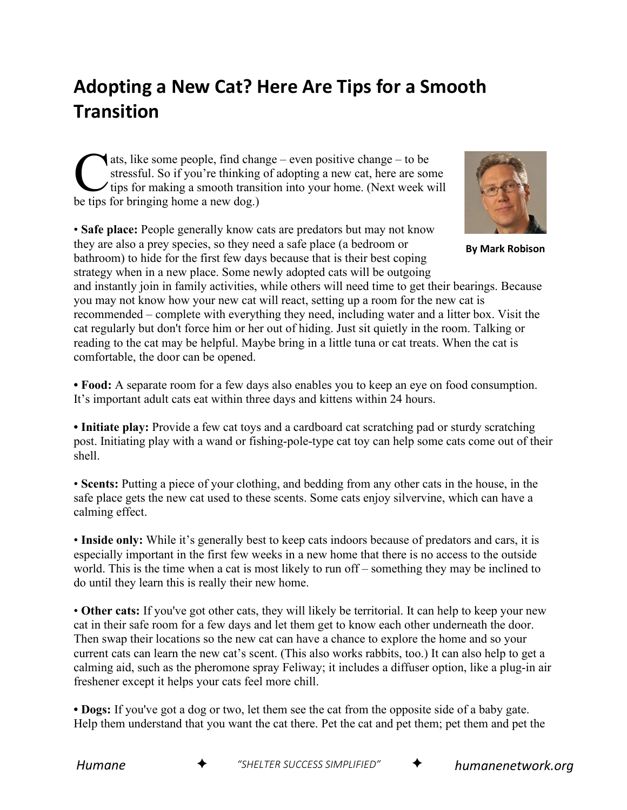## **Adopting a New Cat? Here Are Tips for a Smooth Transition**

ats, like some people, find change – even positive change – to be stressful. So if you're thinking of adopting a new cat, here are some It ips for making a smooth transition into your home. (Next week will ats, like some people, find cha<br>stressful. So if you're thinking<br>tips for making a smooth trans<br>be tips for bringing home a new dog.)

• **Safe place:** People generally know cats are predators but may not know they are also a prey species, so they need a safe place (a bedroom or bathroom) to hide for the first few days because that is their best coping strategy when in a new place. Some newly adopted cats will be outgoing



**By Mark Robison**

and instantly join in family activities, while others will need time to get their bearings. Because you may not know how your new cat will react, setting up a room for the new cat is recommended – complete with everything they need, including water and a litter box. Visit the cat regularly but don't force him or her out of hiding. Just sit quietly in the room. Talking or reading to the cat may be helpful. Maybe bring in a little tuna or cat treats. When the cat is comfortable, the door can be opened.

**• Food:** A separate room for a few days also enables you to keep an eye on food consumption. It's important adult cats eat within three days and kittens within 24 hours.

**• Initiate play:** Provide a few cat toys and a cardboard cat scratching pad or sturdy scratching post. Initiating play with a wand or fishing-pole-type cat toy can help some cats come out of their shell.

• **Scents:** Putting a piece of your clothing, and bedding from any other cats in the house, in the safe place gets the new cat used to these scents. Some cats enjoy silvervine, which can have a calming effect.

• **Inside only:** While it's generally best to keep cats indoors because of predators and cars, it is especially important in the first few weeks in a new home that there is no access to the outside world. This is the time when a cat is most likely to run off – something they may be inclined to do until they learn this is really their new home.

• **Other cats:** If you've got other cats, they will likely be territorial. It can help to keep your new cat in their safe room for a few days and let them get to know each other underneath the door. Then swap their locations so the new cat can have a chance to explore the home and so your current cats can learn the new cat's scent. (This also works rabbits, too.) It can also help to get a calming aid, such as the pheromone spray Feliway; it includes a diffuser option, like a plug-in air freshener except it helps your cats feel more chill.

**• Dogs:** If you've got a dog or two, let them see the cat from the opposite side of a baby gate. Help them understand that you want the cat there. Pet the cat and pet them; pet them and pet the



*Humane* ✦ *"SHELTER SUCCESS SIMPLIFIED"* ✦ *humanenetwork.org*